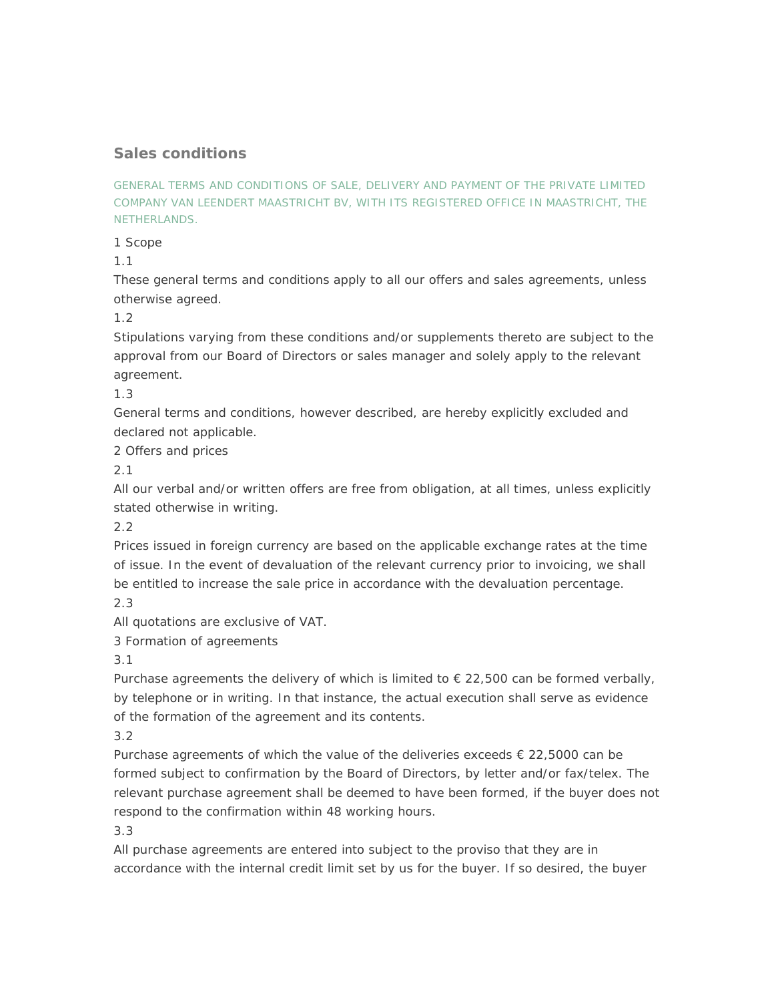# **Sales conditions**

GENERAL TERMS AND CONDITIONS OF SALE, DELIVERY AND PAYMENT OF THE PRIVATE LIMITED COMPANY VAN LEENDERT MAASTRICHT BV, WITH ITS REGISTERED OFFICE IN MAASTRICHT, THE NETHERLANDS.

1 Scope

1.1

These general terms and conditions apply to all our offers and sales agreements, unless otherwise agreed.

1.2

Stipulations varying from these conditions and/or supplements thereto are subject to the approval from our Board of Directors or sales manager and solely apply to the relevant agreement.

1.3

General terms and conditions, however described, are hereby explicitly excluded and declared not applicable.

2 Offers and prices

2.1

All our verbal and/or written offers are free from obligation, at all times, unless explicitly stated otherwise in writing.

2.2

Prices issued in foreign currency are based on the applicable exchange rates at the time of issue. In the event of devaluation of the relevant currency prior to invoicing, we shall be entitled to increase the sale price in accordance with the devaluation percentage. 2.3

All quotations are exclusive of VAT.

3 Formation of agreements

3.1

Purchase agreements the delivery of which is limited to  $\epsilon$  22,500 can be formed verbally, by telephone or in writing. In that instance, the actual execution shall serve as evidence of the formation of the agreement and its contents.

3.2

Purchase agreements of which the value of the deliveries exceeds  $\epsilon$  22,5000 can be formed subject to confirmation by the Board of Directors, by letter and/or fax/telex. The relevant purchase agreement shall be deemed to have been formed, if the buyer does not respond to the confirmation within 48 working hours.

3.3

All purchase agreements are entered into subject to the proviso that they are in accordance with the internal credit limit set by us for the buyer. If so desired, the buyer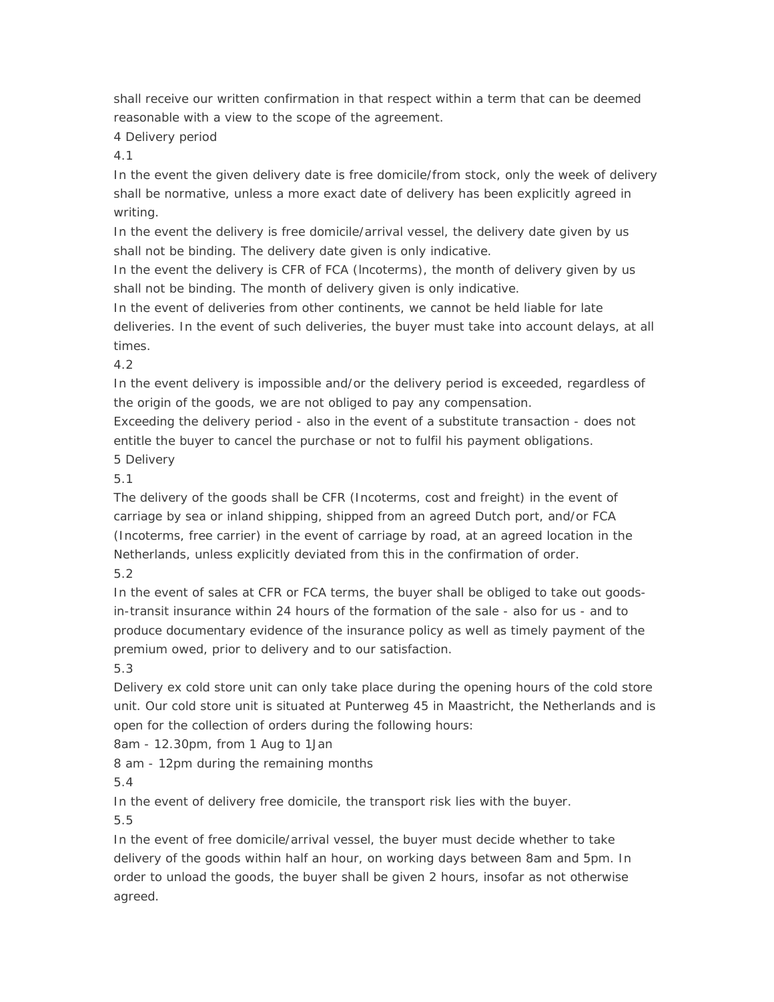shall receive our written confirmation in that respect within a term that can be deemed reasonable with a view to the scope of the agreement.

# 4 Delivery period

4.1

In the event the given delivery date is free domicile/from stock, only the week of delivery shall be normative, unless a more exact date of delivery has been explicitly agreed in writing.

In the event the delivery is free domicile/arrival vessel, the delivery date given by us shall not be binding. The delivery date given is only indicative.

In the event the delivery is CFR of FCA (lncoterms), the month of delivery given by us shall not be binding. The month of delivery given is only indicative.

In the event of deliveries from other continents, we cannot be held liable for late deliveries. In the event of such deliveries, the buyer must take into account delays, at all times.

4.2

In the event delivery is impossible and/or the delivery period is exceeded, regardless of the origin of the goods, we are not obliged to pay any compensation.

Exceeding the delivery period - also in the event of a substitute transaction - does not entitle the buyer to cancel the purchase or not to fulfil his payment obligations.

5 Delivery

5.1

The delivery of the goods shall be CFR (Incoterms, cost and freight) in the event of carriage by sea or inland shipping, shipped from an agreed Dutch port, and/or FCA (Incoterms, free carrier) in the event of carriage by road, at an agreed location in the Netherlands, unless explicitly deviated from this in the confirmation of order. 5.2

In the event of sales at CFR or FCA terms, the buyer shall be obliged to take out goodsin-transit insurance within 24 hours of the formation of the sale - also for us - and to produce documentary evidence of the insurance policy as well as timely payment of the premium owed, prior to delivery and to our satisfaction.

5.3

Delivery ex cold store unit can only take place during the opening hours of the cold store unit. Our cold store unit is situated at Punterweg 45 in Maastricht, the Netherlands and is open for the collection of orders during the following hours:

8am - 12.30pm, from 1 Aug to 1Jan

8 am - 12pm during the remaining months

5.4

In the event of delivery free domicile, the transport risk lies with the buyer.

5.5

In the event of free domicile/arrival vessel, the buyer must decide whether to take delivery of the goods within half an hour, on working days between 8am and 5pm. In order to unload the goods, the buyer shall be given 2 hours, insofar as not otherwise agreed.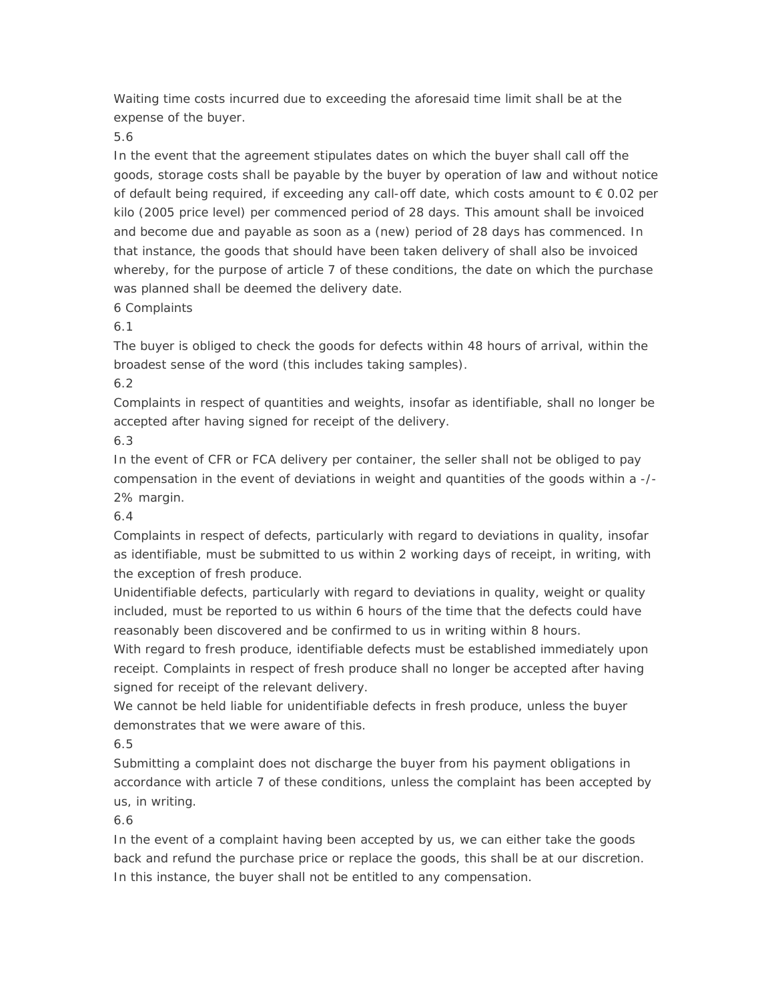Waiting time costs incurred due to exceeding the aforesaid time limit shall be at the expense of the buyer.

5.6

In the event that the agreement stipulates dates on which the buyer shall call off the goods, storage costs shall be payable by the buyer by operation of law and without notice of default being required, if exceeding any call-off date, which costs amount to  $\epsilon$  0.02 per kilo (2005 price level) per commenced period of 28 days. This amount shall be invoiced and become due and payable as soon as a (new) period of 28 days has commenced. In that instance, the goods that should have been taken delivery of shall also be invoiced whereby, for the purpose of article 7 of these conditions, the date on which the purchase was planned shall be deemed the delivery date.

6 Complaints

6.1

The buyer is obliged to check the goods for defects within 48 hours of arrival, within the broadest sense of the word (this includes taking samples).

6.2

Complaints in respect of quantities and weights, insofar as identifiable, shall no longer be accepted after having signed for receipt of the delivery.

6.3

In the event of CFR or FCA delivery per container, the seller shall not be obliged to pay compensation in the event of deviations in weight and quantities of the goods within a -/- 2% margin.

6.4

Complaints in respect of defects, particularly with regard to deviations in quality, insofar as identifiable, must be submitted to us within 2 working days of receipt, in writing, with the exception of fresh produce.

Unidentifiable defects, particularly with regard to deviations in quality, weight or quality included, must be reported to us within 6 hours of the time that the defects could have reasonably been discovered and be confirmed to us in writing within 8 hours.

With regard to fresh produce, identifiable defects must be established immediately upon receipt. Complaints in respect of fresh produce shall no longer be accepted after having signed for receipt of the relevant delivery.

We cannot be held liable for unidentifiable defects in fresh produce, unless the buyer demonstrates that we were aware of this.

6.5

Submitting a complaint does not discharge the buyer from his payment obligations in accordance with article 7 of these conditions, unless the complaint has been accepted by us, in writing.

6.6

In the event of a complaint having been accepted by us, we can either take the goods back and refund the purchase price or replace the goods, this shall be at our discretion. In this instance, the buyer shall not be entitled to any compensation.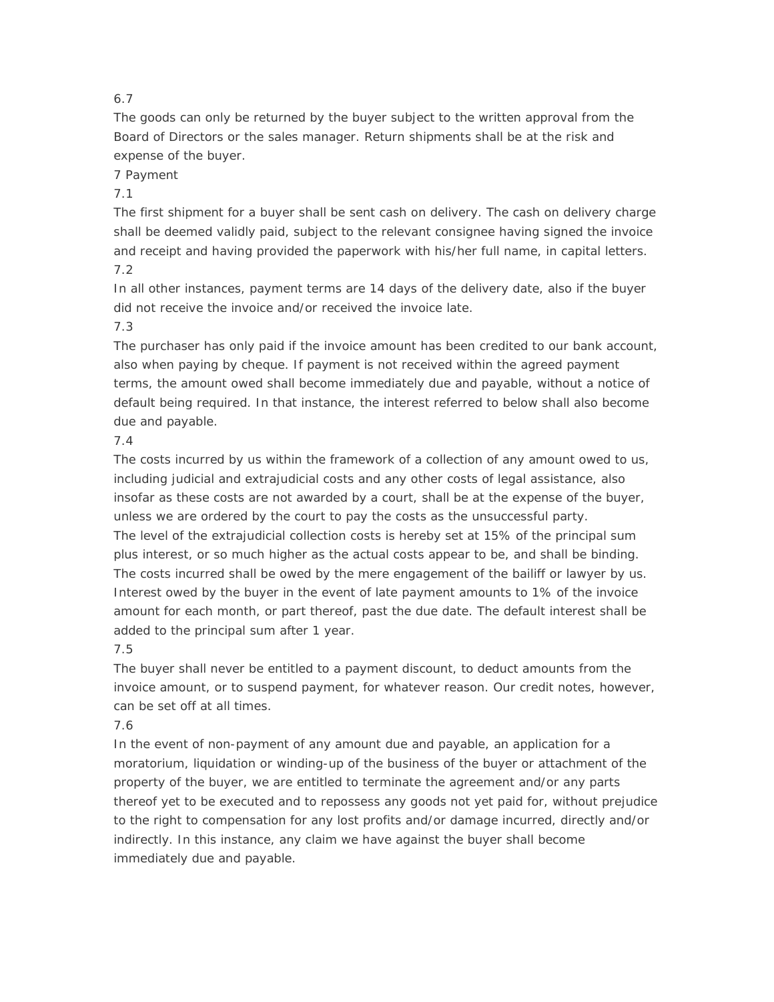# 6.7

The goods can only be returned by the buyer subject to the written approval from the Board of Directors or the sales manager. Return shipments shall be at the risk and expense of the buyer.

#### 7 Payment

#### 7.1

The first shipment for a buyer shall be sent cash on delivery. The cash on delivery charge shall be deemed validly paid, subject to the relevant consignee having signed the invoice and receipt and having provided the paperwork with his/her full name, in capital letters. 7.2

In all other instances, payment terms are 14 days of the delivery date, also if the buyer did not receive the invoice and/or received the invoice late.

#### 7.3

The purchaser has only paid if the invoice amount has been credited to our bank account, also when paying by cheque. If payment is not received within the agreed payment terms, the amount owed shall become immediately due and payable, without a notice of default being required. In that instance, the interest referred to below shall also become due and payable.

### 7.4

The costs incurred by us within the framework of a collection of any amount owed to us, including judicial and extrajudicial costs and any other costs of legal assistance, also insofar as these costs are not awarded by a court, shall be at the expense of the buyer, unless we are ordered by the court to pay the costs as the unsuccessful party. The level of the extrajudicial collection costs is hereby set at 15% of the principal sum plus interest, or so much higher as the actual costs appear to be, and shall be binding. The costs incurred shall be owed by the mere engagement of the bailiff or lawyer by us. Interest owed by the buyer in the event of late payment amounts to 1% of the invoice amount for each month, or part thereof, past the due date. The default interest shall be added to the principal sum after 1 year.

### 7.5

The buyer shall never be entitled to a payment discount, to deduct amounts from the invoice amount, or to suspend payment, for whatever reason. Our credit notes, however, can be set off at all times.

### 7.6

In the event of non-payment of any amount due and payable, an application for a moratorium, liquidation or winding-up of the business of the buyer or attachment of the property of the buyer, we are entitled to terminate the agreement and/or any parts thereof yet to be executed and to repossess any goods not yet paid for, without prejudice to the right to compensation for any lost profits and/or damage incurred, directly and/or indirectly. In this instance, any claim we have against the buyer shall become immediately due and payable.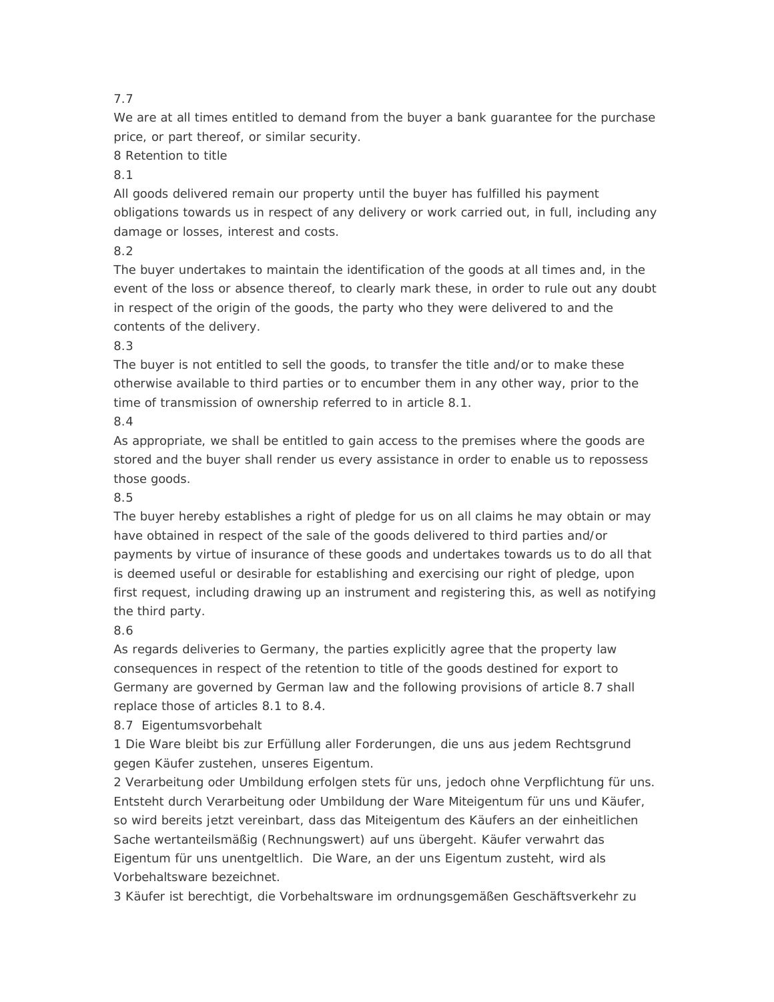# 7.7

We are at all times entitled to demand from the buyer a bank guarantee for the purchase price, or part thereof, or similar security.

8 Retention to title

8.1

All goods delivered remain our property until the buyer has fulfilled his payment obligations towards us in respect of any delivery or work carried out, in full, including any damage or losses, interest and costs.

8.2

The buyer undertakes to maintain the identification of the goods at all times and, in the event of the loss or absence thereof, to clearly mark these, in order to rule out any doubt in respect of the origin of the goods, the party who they were delivered to and the contents of the delivery.

8.3

The buyer is not entitled to sell the goods, to transfer the title and/or to make these otherwise available to third parties or to encumber them in any other way, prior to the time of transmission of ownership referred to in article 8.1.

# 8.4

As appropriate, we shall be entitled to gain access to the premises where the goods are stored and the buyer shall render us every assistance in order to enable us to repossess those goods.

## 8.5

The buyer hereby establishes a right of pledge for us on all claims he may obtain or may have obtained in respect of the sale of the goods delivered to third parties and/or payments by virtue of insurance of these goods and undertakes towards us to do all that is deemed useful or desirable for establishing and exercising our right of pledge, upon first request, including drawing up an instrument and registering this, as well as notifying the third party.

8.6

As regards deliveries to Germany, the parties explicitly agree that the property law consequences in respect of the retention to title of the goods destined for export to Germany are governed by German law and the following provisions of article 8.7 shall replace those of articles 8.1 to 8.4.

8.7 Eigentumsvorbehalt

1 Die Ware bleibt bis zur Erfüllung aller Forderungen, die uns aus jedem Rechtsgrund gegen Käufer zustehen, unseres Eigentum.

2 Verarbeitung oder Umbildung erfolgen stets für uns, jedoch ohne Verpflichtung für uns. Entsteht durch Verarbeitung oder Umbildung der Ware Miteigentum für uns und Käufer, so wird bereits jetzt vereinbart, dass das Miteigentum des Käufers an der einheitlichen Sache wertanteilsmäßig (Rechnungswert) auf uns übergeht. Käufer verwahrt das Eigentum für uns unentgeltlich. Die Ware, an der uns Eigentum zusteht, wird als Vorbehaltsware bezeichnet.

3 Käufer ist berechtigt, die Vorbehaltsware im ordnungsgemäßen Geschäftsverkehr zu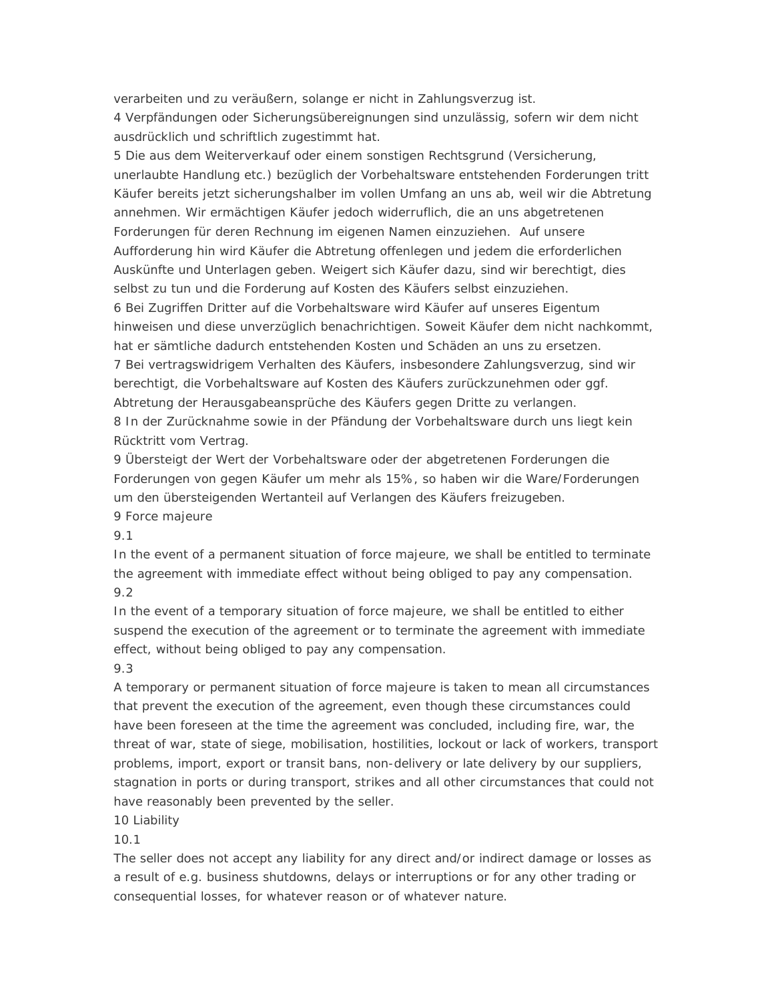verarbeiten und zu veräußern, solange er nicht in Zahlungsverzug ist.

4 Verpfändungen oder Sicherungsübereignungen sind unzulässig, sofern wir dem nicht ausdrücklich und schriftlich zugestimmt hat.

5 Die aus dem Weiterverkauf oder einem sonstigen Rechtsgrund (Versicherung, unerlaubte Handlung etc.) bezüglich der Vorbehaltsware entstehenden Forderungen tritt Käufer bereits jetzt sicherungshalber im vollen Umfang an uns ab, weil wir die Abtretung annehmen. Wir ermächtigen Käufer jedoch widerruflich, die an uns abgetretenen Forderungen für deren Rechnung im eigenen Namen einzuziehen. Auf unsere Aufforderung hin wird Käufer die Abtretung offenlegen und jedem die erforderlichen Auskünfte und Unterlagen geben. Weigert sich Käufer dazu, sind wir berechtigt, dies selbst zu tun und die Forderung auf Kosten des Käufers selbst einzuziehen. 6 Bei Zugriffen Dritter auf die Vorbehaltsware wird Käufer auf unseres Eigentum hinweisen und diese unverzüglich benachrichtigen. Soweit Käufer dem nicht nachkommt, hat er sämtliche dadurch entstehenden Kosten und Schäden an uns zu ersetzen. 7 Bei vertragswidrigem Verhalten des Käufers, insbesondere Zahlungsverzug, sind wir berechtigt, die Vorbehaltsware auf Kosten des Käufers zurückzunehmen oder ggf. Abtretung der Herausgabeansprüche des Käufers gegen Dritte zu verlangen. 8 In der Zurücknahme sowie in der Pfändung der Vorbehaltsware durch uns liegt kein Rücktritt vom Vertrag.

9 Übersteigt der Wert der Vorbehaltsware oder der abgetretenen Forderungen die Forderungen von gegen Käufer um mehr als 15%, so haben wir die Ware/Forderungen um den übersteigenden Wertanteil auf Verlangen des Käufers freizugeben. 9 Force majeure

9.1

In the event of a permanent situation of force majeure, we shall be entitled to terminate the agreement with immediate effect without being obliged to pay any compensation. 9.2

In the event of a temporary situation of force majeure, we shall be entitled to either suspend the execution of the agreement or to terminate the agreement with immediate effect, without being obliged to pay any compensation.

### 9.3

A temporary or permanent situation of force majeure is taken to mean all circumstances that prevent the execution of the agreement, even though these circumstances could have been foreseen at the time the agreement was concluded, including fire, war, the threat of war, state of siege, mobilisation, hostilities, lockout or lack of workers, transport problems, import, export or transit bans, non-delivery or late delivery by our suppliers, stagnation in ports or during transport, strikes and all other circumstances that could not have reasonably been prevented by the seller.

10 Liability

10.1

The seller does not accept any liability for any direct and/or indirect damage or losses as a result of e.g. business shutdowns, delays or interruptions or for any other trading or consequential losses, for whatever reason or of whatever nature.